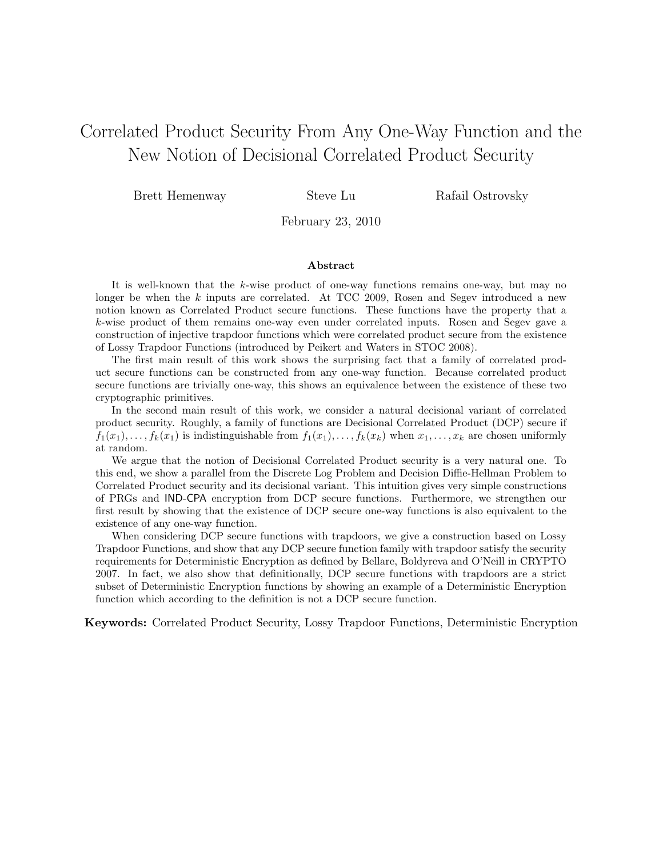# Correlated Product Security From Any One-Way Function and the New Notion of Decisional Correlated Product Security

Brett Hemenway Steve Lu Rafail Ostrovsky

February 23, 2010

#### Abstract

It is well-known that the k-wise product of one-way functions remains one-way, but may no longer be when the  $k$  inputs are correlated. At TCC 2009, Rosen and Segev introduced a new notion known as Correlated Product secure functions. These functions have the property that a k-wise product of them remains one-way even under correlated inputs. Rosen and Segev gave a construction of injective trapdoor functions which were correlated product secure from the existence of Lossy Trapdoor Functions (introduced by Peikert and Waters in STOC 2008).

The first main result of this work shows the surprising fact that a family of correlated product secure functions can be constructed from any one-way function. Because correlated product secure functions are trivially one-way, this shows an equivalence between the existence of these two cryptographic primitives.

In the second main result of this work, we consider a natural decisional variant of correlated product security. Roughly, a family of functions are Decisional Correlated Product (DCP) secure if  $f_1(x_1), \ldots, f_k(x_1)$  is indistinguishable from  $f_1(x_1), \ldots, f_k(x_k)$  when  $x_1, \ldots, x_k$  are chosen uniformly at random.

We argue that the notion of Decisional Correlated Product security is a very natural one. To this end, we show a parallel from the Discrete Log Problem and Decision Diffie-Hellman Problem to Correlated Product security and its decisional variant. This intuition gives very simple constructions of PRGs and IND-CPA encryption from DCP secure functions. Furthermore, we strengthen our first result by showing that the existence of DCP secure one-way functions is also equivalent to the existence of any one-way function.

When considering DCP secure functions with trapdoors, we give a construction based on Lossy Trapdoor Functions, and show that any DCP secure function family with trapdoor satisfy the security requirements for Deterministic Encryption as defined by Bellare, Boldyreva and O'Neill in CRYPTO 2007. In fact, we also show that definitionally, DCP secure functions with trapdoors are a strict subset of Deterministic Encryption functions by showing an example of a Deterministic Encryption function which according to the definition is not a DCP secure function.

Keywords: Correlated Product Security, Lossy Trapdoor Functions, Deterministic Encryption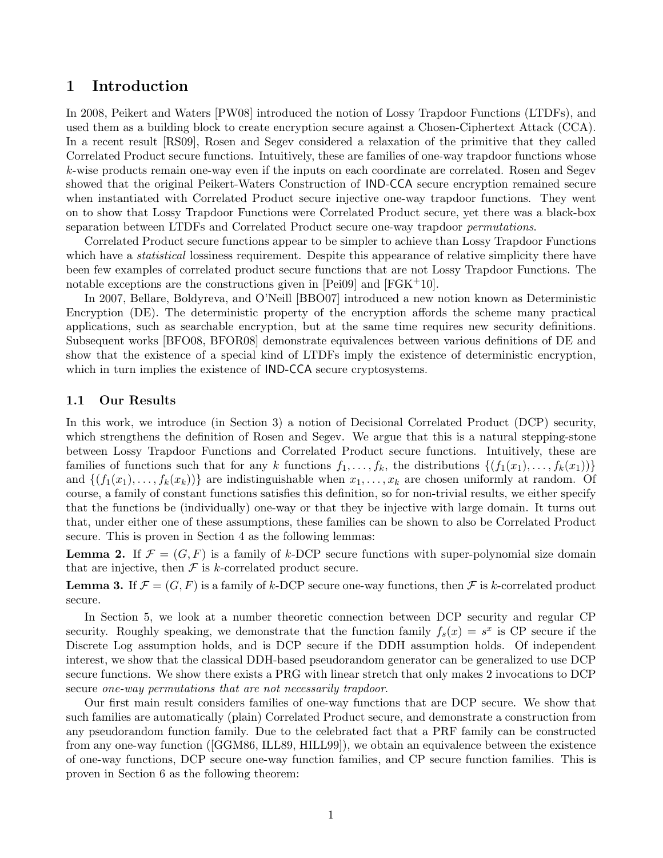### 1 Introduction

In 2008, Peikert and Waters [PW08] introduced the notion of Lossy Trapdoor Functions (LTDFs), and used them as a building block to create encryption secure against a Chosen-Ciphertext Attack (CCA). In a recent result [RS09], Rosen and Segev considered a relaxation of the primitive that they called Correlated Product secure functions. Intuitively, these are families of one-way trapdoor functions whose k-wise products remain one-way even if the inputs on each coordinate are correlated. Rosen and Segev showed that the original Peikert-Waters Construction of IND-CCA secure encryption remained secure when instantiated with Correlated Product secure injective one-way trapdoor functions. They went on to show that Lossy Trapdoor Functions were Correlated Product secure, yet there was a black-box separation between LTDFs and Correlated Product secure one-way trapdoor *permutations*.

Correlated Product secure functions appear to be simpler to achieve than Lossy Trapdoor Functions which have a *statistical* lossiness requirement. Despite this appearance of relative simplicity there have been few examples of correlated product secure functions that are not Lossy Trapdoor Functions. The notable exceptions are the constructions given in  $[Pei09]$  and  $[FGK^+10]$ .

In 2007, Bellare, Boldyreva, and O'Neill [BBO07] introduced a new notion known as Deterministic Encryption (DE). The deterministic property of the encryption affords the scheme many practical applications, such as searchable encryption, but at the same time requires new security definitions. Subsequent works [BFO08, BFOR08] demonstrate equivalences between various definitions of DE and show that the existence of a special kind of LTDFs imply the existence of deterministic encryption, which in turn implies the existence of **IND-CCA** secure cryptosystems.

#### 1.1 Our Results

In this work, we introduce (in Section 3) a notion of Decisional Correlated Product (DCP) security, which strengthens the definition of Rosen and Segev. We argue that this is a natural stepping-stone between Lossy Trapdoor Functions and Correlated Product secure functions. Intuitively, these are families of functions such that for any k functions  $f_1, \ldots, f_k$ , the distributions  $\{(f_1(x_1), \ldots, f_k(x_1))\}$ and  $\{(f_1(x_1), \ldots, f_k(x_k))\}\$ are indistinguishable when  $x_1, \ldots, x_k$  are chosen uniformly at random. Of course, a family of constant functions satisfies this definition, so for non-trivial results, we either specify that the functions be (individually) one-way or that they be injective with large domain. It turns out that, under either one of these assumptions, these families can be shown to also be Correlated Product secure. This is proven in Section 4 as the following lemmas:

**Lemma 2.** If  $\mathcal{F} = (G, F)$  is a family of k-DCP secure functions with super-polynomial size domain that are injective, then  $\mathcal F$  is k-correlated product secure.

**Lemma 3.** If  $\mathcal{F} = (G, F)$  is a family of k-DCP secure one-way functions, then  $\mathcal{F}$  is k-correlated product secure.

In Section 5, we look at a number theoretic connection between DCP security and regular CP security. Roughly speaking, we demonstrate that the function family  $f_s(x) = s^x$  is CP secure if the Discrete Log assumption holds, and is DCP secure if the DDH assumption holds. Of independent interest, we show that the classical DDH-based pseudorandom generator can be generalized to use DCP secure functions. We show there exists a PRG with linear stretch that only makes 2 invocations to DCP secure one-way permutations that are not necessarily trapdoor.

Our first main result considers families of one-way functions that are DCP secure. We show that such families are automatically (plain) Correlated Product secure, and demonstrate a construction from any pseudorandom function family. Due to the celebrated fact that a PRF family can be constructed from any one-way function ([GGM86, ILL89, HILL99]), we obtain an equivalence between the existence of one-way functions, DCP secure one-way function families, and CP secure function families. This is proven in Section 6 as the following theorem: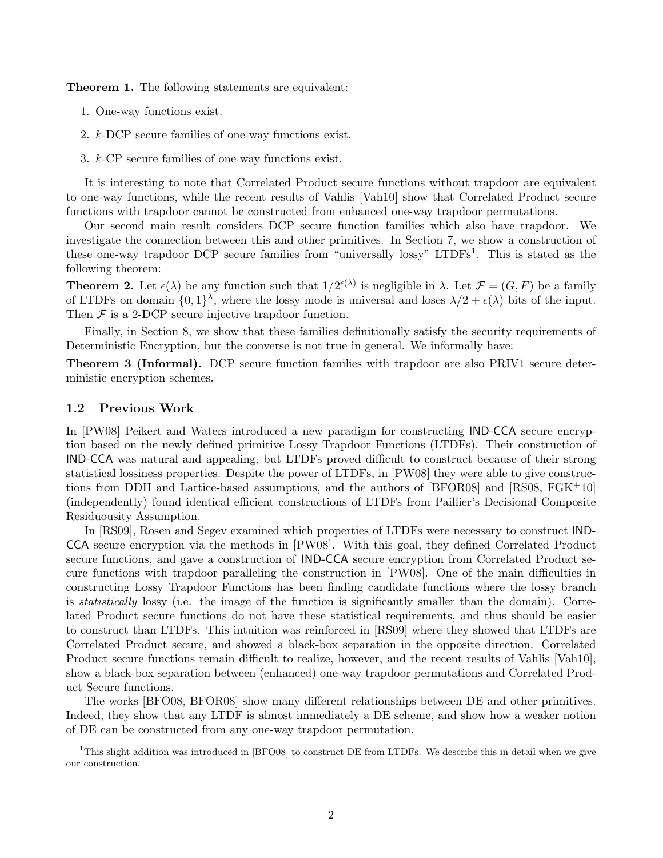Theorem 1. The following statements are equivalent:

- 1. One-way functions exist.
- 2. k-DCP secure families of one-way functions exist.
- 3. k-CP secure families of one-way functions exist.

It is interesting to note that Correlated Product secure functions without trapdoor are equivalent to one-way functions, while the recent results of Vahlis [Vah10] show that Correlated Product secure functions with trapdoor cannot be constructed from enhanced one-way trapdoor permutations.

Our second main result considers DCP secure function families which also have trapdoor. We investigate the connection between this and other primitives. In Section 7, we show a construction of these one-way trapdoor DCP secure families from "universally lossy" LTDFs<sup>1</sup>. This is stated as the following theorem:

**Theorem 2.** Let  $\epsilon(\lambda)$  be any function such that  $1/2^{\epsilon(\lambda)}$  is negligible in  $\lambda$ . Let  $\mathcal{F} = (G, F)$  be a family of LTDFs on domain  $\{0,1\}^{\lambda}$ , where the lossy mode is universal and loses  $\lambda/2 + \epsilon(\lambda)$  bits of the input. Then  $\mathcal F$  is a 2-DCP secure injective trapdoor function.

Finally, in Section 8, we show that these families definitionally satisfy the security requirements of Deterministic Encryption, but the converse is not true in general. We informally have:

Theorem 3 (Informal). DCP secure function families with trapdoor are also PRIV1 secure deterministic encryption schemes.

#### 1.2 Previous Work

In [PW08] Peikert and Waters introduced a new paradigm for constructing IND-CCA secure encryption based on the newly defined primitive Lossy Trapdoor Functions (LTDFs). Their construction of IND-CCA was natural and appealing, but LTDFs proved difficult to construct because of their strong statistical lossiness properties. Despite the power of LTDFs, in [PW08] they were able to give constructions from DDH and Lattice-based assumptions, and the authors of [BFOR08] and [RS08, FGK+10] (independently) found identical efficient constructions of LTDFs from Paillier's Decisional Composite Residuousity Assumption.

In [RS09], Rosen and Segev examined which properties of LTDFs were necessary to construct IND-CCA secure encryption via the methods in [PW08]. With this goal, they defined Correlated Product secure functions, and gave a construction of IND-CCA secure encryption from Correlated Product secure functions with trapdoor paralleling the construction in [PW08]. One of the main difficulties in constructing Lossy Trapdoor Functions has been finding candidate functions where the lossy branch is statistically lossy (i.e. the image of the function is significantly smaller than the domain). Correlated Product secure functions do not have these statistical requirements, and thus should be easier to construct than LTDFs. This intuition was reinforced in [RS09] where they showed that LTDFs are Correlated Product secure, and showed a black-box separation in the opposite direction. Correlated Product secure functions remain difficult to realize, however, and the recent results of Vahlis [Vah10], show a black-box separation between (enhanced) one-way trapdoor permutations and Correlated Product Secure functions.

The works [BFO08, BFOR08] show many different relationships between DE and other primitives. Indeed, they show that any LTDF is almost immediately a DE scheme, and show how a weaker notion of DE can be constructed from any one-way trapdoor permutation.

<sup>&</sup>lt;sup>1</sup>This slight addition was introduced in [BFO08] to construct DE from LTDFs. We describe this in detail when we give our construction.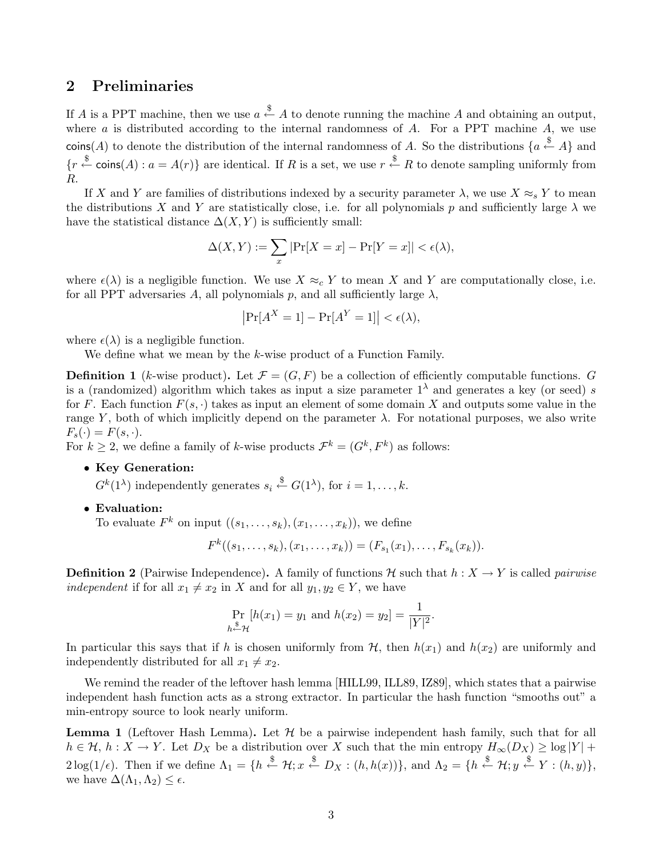### 2 Preliminaries

If A is a PPT machine, then we use  $a \stackrel{\$}{\leftarrow} A$  to denote running the machine A and obtaining an output, where  $a$  is distributed according to the internal randomness of  $A$ . For a PPT machine  $A$ , we use coins(A) to denote the distribution of the internal randomness of A. So the distributions  $\{a \stackrel{\$}{\leftarrow} A\}$  and  ${r \stackrel{\$}{\leftarrow} \text{coins}(A) : a = A(r)}$  are identical. If R is a set, we use  $r \stackrel{\$}{\leftarrow} R$  to denote sampling uniformly from R.

If X and Y are families of distributions indexed by a security parameter  $\lambda$ , we use  $X \approx_s Y$  to mean the distributions X and Y are statistically close, i.e. for all polynomials p and sufficiently large  $\lambda$  we have the statistical distance  $\Delta(X, Y)$  is sufficiently small:

$$
\Delta(X, Y) := \sum_{x} |\Pr[X = x] - \Pr[Y = x]| < \epsilon(\lambda),
$$

where  $\epsilon(\lambda)$  is a negligible function. We use  $X \approx_c Y$  to mean X and Y are computationally close, i.e. for all PPT adversaries A, all polynomials p, and all sufficiently large  $\lambda$ ,

$$
\left|\Pr[A^X=1]-\Pr[A^Y=1]\right|<\epsilon(\lambda),
$$

where  $\epsilon(\lambda)$  is a negligible function.

We define what we mean by the k-wise product of a Function Family.

**Definition 1** (k-wise product). Let  $\mathcal{F} = (G, F)$  be a collection of efficiently computable functions. G is a (randomized) algorithm which takes as input a size parameter  $1<sup>\lambda</sup>$  and generates a key (or seed) s for F. Each function  $F(s, \cdot)$  takes as input an element of some domain X and outputs some value in the range Y, both of which implicitly depend on the parameter  $\lambda$ . For notational purposes, we also write  $F_s(\cdot) = F(s, \cdot).$ 

For  $k \geq 2$ , we define a family of k-wise products  $\mathcal{F}^k = (G^k, F^k)$  as follows:

#### • Key Generation:

 $G^k(1^{\lambda})$  independently generates  $s_i \stackrel{\$}{\leftarrow} G(1^{\lambda})$ , for  $i = 1, \ldots, k$ .

• Evaluation:

To evaluate  $F^k$  on input  $((s_1, \ldots, s_k), (x_1, \ldots, x_k)),$  we define

$$
F^k((s_1,\ldots,s_k),(x_1,\ldots,x_k))=(F_{s_1}(x_1),\ldots,F_{s_k}(x_k)).
$$

**Definition 2** (Pairwise Independence). A family of functions H such that  $h: X \to Y$  is called *pairwise* independent if for all  $x_1 \neq x_2$  in X and for all  $y_1, y_2 \in Y$ , we have

$$
\Pr_{h \stackrel{\$}{\sim} \mathcal{H}}[h(x_1) = y_1 \text{ and } h(x_2) = y_2] = \frac{1}{|Y|^2}.
$$

In particular this says that if h is chosen uniformly from  $H$ , then  $h(x_1)$  and  $h(x_2)$  are uniformly and independently distributed for all  $x_1 \neq x_2$ .

We remind the reader of the leftover hash lemma [HILL99, ILL89, IZ89], which states that a pairwise independent hash function acts as a strong extractor. In particular the hash function "smooths out" a min-entropy source to look nearly uniform.

**Lemma 1** (Leftover Hash Lemma). Let  $H$  be a pairwise independent hash family, such that for all  $h \in \mathcal{H}, h : X \to Y$ . Let  $D_X$  be a distribution over X such that the min entropy  $H_{\infty}(D_X) \geq \log |Y| +$  $2\log(1/\epsilon)$ . Then if we define  $\Lambda_1 = \{h \stackrel{\$}{\leftarrow} \mathcal{H}; x \stackrel{\$}{\leftarrow} D_X : (h, h(x))\}$ , and  $\Lambda_2 = \{h \stackrel{\$}{\leftarrow} \mathcal{H}; y \stackrel{\$}{\leftarrow} Y : (h, y)\},$ we have  $\Delta(\Lambda_1,\Lambda_2) \leq \epsilon$ .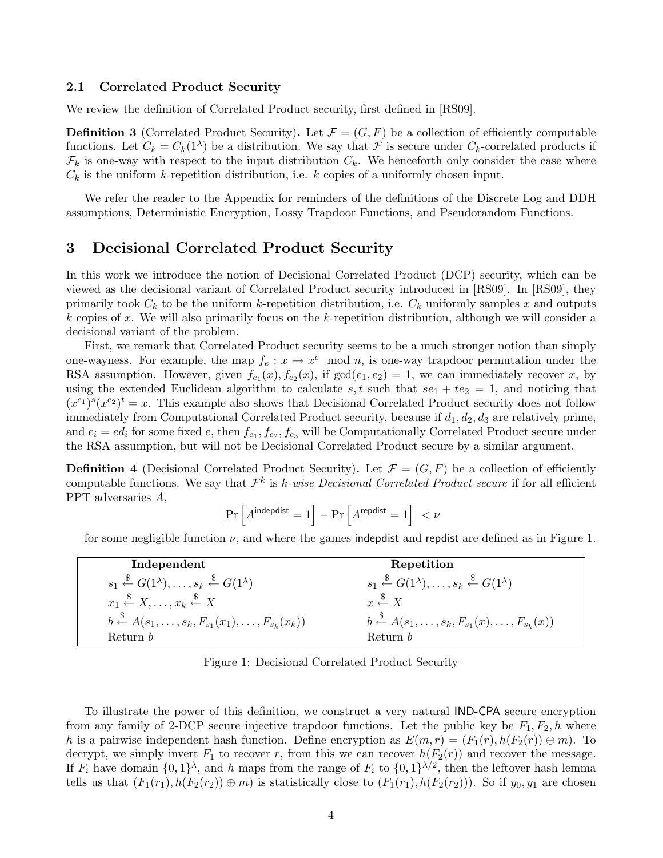#### 2.1 Correlated Product Security

We review the definition of Correlated Product security, first defined in [RS09].

**Definition 3** (Correlated Product Security). Let  $\mathcal{F} = (G, F)$  be a collection of efficiently computable functions. Let  $C_k = C_k(1^{\lambda})$  be a distribution. We say that  $\mathcal F$  is secure under  $C_k$ -correlated products if  $\mathcal{F}_k$  is one-way with respect to the input distribution  $C_k$ . We henceforth only consider the case where  $C_k$  is the uniform k-repetition distribution, i.e. k copies of a uniformly chosen input.

We refer the reader to the Appendix for reminders of the definitions of the Discrete Log and DDH assumptions, Deterministic Encryption, Lossy Trapdoor Functions, and Pseudorandom Functions.

### 3 Decisional Correlated Product Security

 $\overline{\phantom{a}}$  $\overline{\phantom{a}}$  $\overline{\phantom{a}}$ 

In this work we introduce the notion of Decisional Correlated Product (DCP) security, which can be viewed as the decisional variant of Correlated Product security introduced in [RS09]. In [RS09], they primarily took  $C_k$  to be the uniform k-repetition distribution, i.e.  $C_k$  uniformly samples x and outputs k copies of x. We will also primarily focus on the k-repetition distribution, although we will consider a decisional variant of the problem.

First, we remark that Correlated Product security seems to be a much stronger notion than simply one-wayness. For example, the map  $f_e: x \mapsto x^e \mod n$ , is one-way trapdoor permutation under the RSA assumption. However, given  $f_{e_1}(x)$ ,  $f_{e_2}(x)$ , if  $gcd(e_1, e_2) = 1$ , we can immediately recover x, by using the extended Euclidean algorithm to calculate s, t such that  $se_1 + te_2 = 1$ , and noticing that  $(x^{e_1})^s (x^{e_2})^t = x$ . This example also shows that Decisional Correlated Product security does not follow immediately from Computational Correlated Product security, because if  $d_1, d_2, d_3$  are relatively prime, and  $e_i = ed_i$  for some fixed  $e$ , then  $f_{e_1}, f_{e_2}, f_{e_3}$  will be Computationally Correlated Product secure under the RSA assumption, but will not be Decisional Correlated Product secure by a similar argument.

**Definition 4** (Decisional Correlated Product Security). Let  $\mathcal{F} = (G, F)$  be a collection of efficiently computable functions. We say that  $\mathcal{F}^k$  is k-wise Decisional Correlated Product secure if for all efficient PPT adversaries A,

$$
\Pr\left[A^{\mathsf{indepdist}}=1\right] - \Pr\left[A^{\mathsf{repdist}}=1\right] \Big| < \nu
$$

for some negligible function  $\nu$ , and where the games indepdist and repdist are defined as in Figure 1.

| Independent                                                                                          | Repetition                                                                                           |
|------------------------------------------------------------------------------------------------------|------------------------------------------------------------------------------------------------------|
| $s_1 \stackrel{\$}{\leftarrow} G(1^{\lambda}), \ldots, s_k \stackrel{\$}{\leftarrow} G(1^{\lambda})$ | $s_1 \stackrel{\$}{\leftarrow} G(1^{\lambda}), \ldots, s_k \stackrel{\$}{\leftarrow} G(1^{\lambda})$ |
| $x_1 \stackrel{\$}{\leftarrow} X, \ldots, x_k \stackrel{\$}{\leftarrow} X$                           | $x \stackrel{\$}{\leftarrow} X$                                                                      |
| $b \stackrel{\$}{\leftarrow} A(s_1, \ldots, s_k, F_{s_1}(x_1), \ldots, F_{s_k}(x_k))$                | $b \stackrel{\$}{\leftarrow} A(s_1,\ldots,s_k,F_{s_1}(x),\ldots,F_{s_k}(x))$                         |
| Return b                                                                                             | Return b                                                                                             |

Figure 1: Decisional Correlated Product Security

To illustrate the power of this definition, we construct a very natural IND-CPA secure encryption from any family of 2-DCP secure injective trapdoor functions. Let the public key be  $F_1, F_2, h$  where h is a pairwise independent hash function. Define encryption as  $E(m, r) = (F_1(r), h(F_2(r)) \oplus m)$ . To decrypt, we simply invert  $F_1$  to recover r, from this we can recover  $h(F_2(r))$  and recover the message. If  $F_i$  have domain  $\{0,1\}^{\lambda}$ , and h maps from the range of  $F_i$  to  $\{0,1\}^{\lambda/2}$ , then the leftover hash lemma tells us that  $(F_1(r_1), h(F_2(r_2)) \oplus m)$  is statistically close to  $(F_1(r_1), h(F_2(r_2)))$ . So if  $y_0, y_1$  are chosen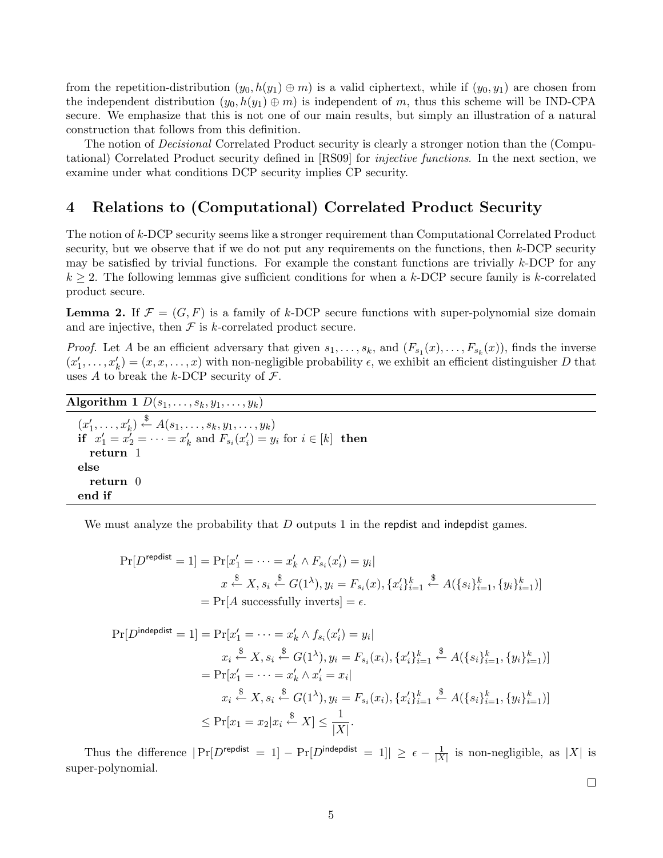from the repetition-distribution  $(y_0, h(y_1) \oplus m)$  is a valid ciphertext, while if  $(y_0, y_1)$  are chosen from the independent distribution  $(y_0, h(y_1) \oplus m)$  is independent of m, thus this scheme will be IND-CPA secure. We emphasize that this is not one of our main results, but simply an illustration of a natural construction that follows from this definition.

The notion of *Decisional* Correlated Product security is clearly a stronger notion than the (Computational) Correlated Product security defined in [RS09] for injective functions. In the next section, we examine under what conditions DCP security implies CP security.

## 4 Relations to (Computational) Correlated Product Security

The notion of k-DCP security seems like a stronger requirement than Computational Correlated Product security, but we observe that if we do not put any requirements on the functions, then k-DCP security may be satisfied by trivial functions. For example the constant functions are trivially  $k$ -DCP for any  $k \geq 2$ . The following lemmas give sufficient conditions for when a k-DCP secure family is k-correlated product secure.

**Lemma 2.** If  $\mathcal{F} = (G, F)$  is a family of k-DCP secure functions with super-polynomial size domain and are injective, then  $\mathcal F$  is k-correlated product secure.

*Proof.* Let A be an efficient adversary that given  $s_1, \ldots, s_k$ , and  $(F_{s_1}(x), \ldots, F_{s_k}(x))$ , finds the inverse  $(x'_1, \ldots, x'_k) = (x, x, \ldots, x)$  with non-negligible probability  $\epsilon$ , we exhibit an efficient distinguisher D that uses A to break the k-DCP security of  $\mathcal{F}$ .

Algorithm 1  $D(s_1, \ldots, s_k, y_1, \ldots, y_k)$  $(x'_1, \ldots, x'_k) \stackrel{\$}{\leftarrow} A(s_1, \ldots, s_k, y_1, \ldots, y_k)$ **if**  $x'_1 = x'_2 = \cdots = x'_k$  and  $F_{s_i}(x'_i) = y_i$  for  $i \in [k]$  **then** return 1 else return 0 end if

We must analyze the probability that  $D$  outputs 1 in the repolist and indepolist games.

$$
\Pr[D^{\text{repdist}} = 1] = \Pr[x'_1 = \dots = x'_k \land F_{s_i}(x'_i) = y_i]
$$
\n
$$
x \stackrel{\$}{\leftarrow} X, s_i \stackrel{\$}{\leftarrow} G(1^\lambda), y_i = F_{s_i}(x), \{x'_i\}_{i=1}^k \stackrel{\$}{\leftarrow} A(\{s_i\}_{i=1}^k, \{y_i\}_{i=1}^k)]
$$
\n
$$
= \Pr[A \text{ successfully inverts}] = \epsilon.
$$

$$
\Pr[D^{\text{indepdist}} = 1] = \Pr[x'_1 = \dots = x'_k \land f_{s_i}(x'_i) = y_i]
$$
\n
$$
x_i \stackrel{\$}{\leftarrow} X, s_i \stackrel{\$}{\leftarrow} G(1^{\lambda}), y_i = F_{s_i}(x_i), \{x'_i\}_{i=1}^k \stackrel{\$}{\leftarrow} A(\{s_i\}_{i=1}^k, \{y_i\}_{i=1}^k)]
$$
\n
$$
= \Pr[x'_1 = \dots = x'_k \land x'_i = x_i]
$$
\n
$$
x_i \stackrel{\$}{\leftarrow} X, s_i \stackrel{\$}{\leftarrow} G(1^{\lambda}), y_i = F_{s_i}(x_i), \{x'_i\}_{i=1}^k \stackrel{\$}{\leftarrow} A(\{s_i\}_{i=1}^k, \{y_i\}_{i=1}^k)]
$$
\n
$$
\leq \Pr[x_1 = x_2 | x_i \stackrel{\$}{\leftarrow} X] \leq \frac{1}{|X|}.
$$

Thus the difference  $|\Pr[D^{\text{repdist}} = 1] - \Pr[D^{\text{indepthist}} = 1]| \geq \epsilon - \frac{1}{|X|}$  $\frac{1}{|X|}$  is non-negligible, as  $|X|$  is super-polynomial.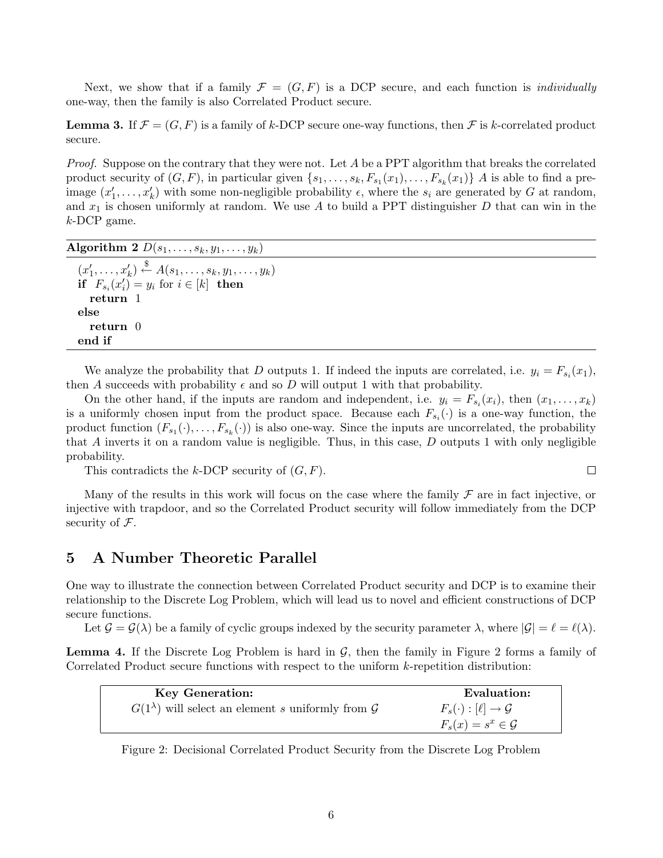Next, we show that if a family  $\mathcal{F} = (G, F)$  is a DCP secure, and each function is *individually* one-way, then the family is also Correlated Product secure.

**Lemma 3.** If  $\mathcal{F} = (G, F)$  is a family of k-DCP secure one-way functions, then  $\mathcal{F}$  is k-correlated product secure.

Proof. Suppose on the contrary that they were not. Let A be a PPT algorithm that breaks the correlated product security of  $(G, F)$ , in particular given  $\{s_1, \ldots, s_k, F_{s_1}(x_1), \ldots, F_{s_k}(x_1)\}\$  A is able to find a preimage  $(x'_1, \ldots, x'_k)$  with some non-negligible probability  $\epsilon$ , where the  $s_i$  are generated by G at random, and  $x_1$  is chosen uniformly at random. We use A to build a PPT distinguisher D that can win in the k-DCP game.

Algorithm 2  $D(s_1, \ldots, s_k, y_1, \ldots, y_k)$  $(x'_1, \ldots, x'_k) \stackrel{\$}{\leftarrow} A(s_1, \ldots, s_k, y_1, \ldots, y_k)$ if  $F_{s_i}(x'_i) = y_i$  for  $i \in [k]$  then return 1 else return 0 end if

We analyze the probability that D outputs 1. If indeed the inputs are correlated, i.e.  $y_i = F_{s_i}(x_1)$ , then A succeeds with probability  $\epsilon$  and so D will output 1 with that probability.

On the other hand, if the inputs are random and independent, i.e.  $y_i = F_{s_i}(x_i)$ , then  $(x_1, \ldots, x_k)$ is a uniformly chosen input from the product space. Because each  $F_{s_i}(\cdot)$  is a one-way function, the product function  $(F_{s_1}(\cdot),...,F_{s_k}(\cdot))$  is also one-way. Since the inputs are uncorrelated, the probability that A inverts it on a random value is negligible. Thus, in this case,  $D$  outputs 1 with only negligible probability.

This contradicts the k-DCP security of  $(G, F)$ .

Many of the results in this work will focus on the case where the family  $\mathcal F$  are in fact injective, or injective with trapdoor, and so the Correlated Product security will follow immediately from the DCP security of  $\mathcal{F}$ .

 $\Box$ 

### 5 A Number Theoretic Parallel

One way to illustrate the connection between Correlated Product security and DCP is to examine their relationship to the Discrete Log Problem, which will lead us to novel and efficient constructions of DCP secure functions.

Let  $\mathcal{G} = \mathcal{G}(\lambda)$  be a family of cyclic groups indexed by the security parameter  $\lambda$ , where  $|\mathcal{G}| = \ell = \ell(\lambda)$ .

**Lemma 4.** If the Discrete Log Problem is hard in  $\mathcal{G}$ , then the family in Figure 2 forms a family of Correlated Product secure functions with respect to the uniform k-repetition distribution:

| <b>Key Generation:</b>                                                 | Evaluation:                          |
|------------------------------------------------------------------------|--------------------------------------|
| $G(1^{\lambda})$ will select an element s uniformly from $\mathcal{G}$ | $F_s(\cdot): [\ell] \to \mathcal{G}$ |
|                                                                        | $F_s(x) = s^x \in \mathcal{G}$       |

Figure 2: Decisional Correlated Product Security from the Discrete Log Problem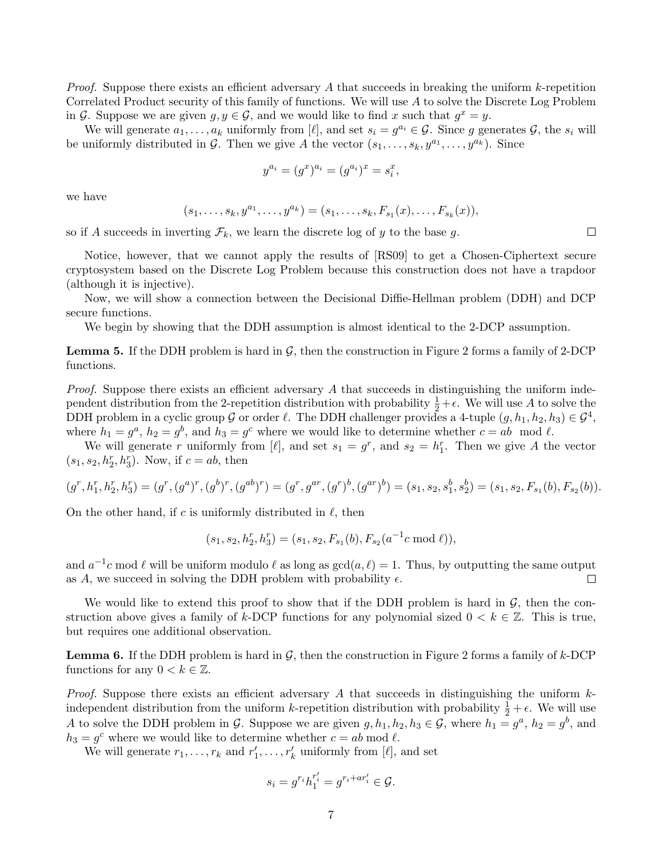*Proof.* Suppose there exists an efficient adversary A that succeeds in breaking the uniform  $k$ -repetition Correlated Product security of this family of functions. We will use A to solve the Discrete Log Problem in G. Suppose we are given  $g, y \in \mathcal{G}$ , and we would like to find x such that  $g^x = y$ .

We will generate  $a_1, \ldots, a_k$  uniformly from [ $\ell$ ], and set  $s_i = g^{a_i} \in \mathcal{G}$ . Since g generates  $\mathcal{G}$ , the  $s_i$  will be uniformly distributed in G. Then we give A the vector  $(s_1, \ldots, s_k, y^{a_1}, \ldots, y^{a_k})$ . Since

$$
y^{a_i} = (g^x)^{a_i} = (g^{a_i})^x = s_i^x,
$$

we have

$$
(s_1, \ldots, s_k, y^{a_1}, \ldots, y^{a_k}) = (s_1, \ldots, s_k, F_{s_1}(x), \ldots, F_{s_k}(x)),
$$

so if A succeeds in inverting  $\mathcal{F}_k$ , we learn the discrete log of y to the base g.

Notice, however, that we cannot apply the results of [RS09] to get a Chosen-Ciphertext secure cryptosystem based on the Discrete Log Problem because this construction does not have a trapdoor (although it is injective).

Now, we will show a connection between the Decisional Diffie-Hellman problem (DDH) and DCP secure functions.

We begin by showing that the DDH assumption is almost identical to the 2-DCP assumption.

**Lemma 5.** If the DDH problem is hard in  $\mathcal{G}$ , then the construction in Figure 2 forms a family of 2-DCP functions.

Proof. Suppose there exists an efficient adversary A that succeeds in distinguishing the uniform independent distribution from the 2-repetition distribution with probability  $\frac{1}{2} + \epsilon$ . We will use A to solve the DDH problem in a cyclic group G or order  $\ell$ . The DDH challenger provides a 4-tuple  $(g, h_1, h_2, h_3) \in \mathcal{G}^4$ , where  $h_1 = g^a$ ,  $h_2 = g^b$ , and  $h_3 = g^c$  where we would like to determine whether  $c = ab \mod l$ .

We will generate r uniformly from  $[\ell]$ , and set  $s_1 = g^r$ , and  $s_2 = h_1^r$ . Then we give A the vector  $(s_1, s_2, h_2^r, h_3^r)$ . Now, if  $c = ab$ , then

$$
(g^r, h_1^r, h_2^r, h_3^r) = (g^r, (g^a)^r, (g^b)^r, (g^{ab})^r) = (g^r, g^{ar}, (g^r)^b, (g^{ar})^b) = (s_1, s_2, s_1^b, s_2^b) = (s_1, s_2, F_{s_1}(b), F_{s_2}(b)).
$$

On the other hand, if c is uniformly distributed in  $\ell$ , then

$$
(s_1,s_2,h^r_2,h^r_3)=(s_1,s_2,F_{s_1}(b),F_{s_2}(a^{-1}c \bmod \ell)),
$$

and  $a^{-1}c$  mod  $\ell$  will be uniform modulo  $\ell$  as long as  $gcd(a, \ell) = 1$ . Thus, by outputting the same output as A, we succeed in solving the DDH problem with probability  $\epsilon$ .  $\Box$ 

We would like to extend this proof to show that if the DDH problem is hard in  $\mathcal{G}$ , then the construction above gives a family of k-DCP functions for any polynomial sized  $0 < k \in \mathbb{Z}$ . This is true, but requires one additional observation.

**Lemma 6.** If the DDH problem is hard in  $\mathcal{G}$ , then the construction in Figure 2 forms a family of k-DCP functions for any  $0 < k \in \mathbb{Z}$ .

*Proof.* Suppose there exists an efficient adversary A that succeeds in distinguishing the uniform  $k$ independent distribution from the uniform k-repetition distribution with probability  $\frac{1}{2} + \epsilon$ . We will use A to solve the DDH problem in G. Suppose we are given  $g, h_1, h_2, h_3 \in \mathcal{G}$ , where  $h_1 = g^a$ ,  $h_2 = g^b$ , and  $h_3 = g^c$  where we would like to determine whether  $c = ab \mod l$ .

We will generate  $r_1, \ldots, r_k$  and  $r'_1, \ldots, r'_k$  uniformly from  $[\ell]$ , and set

$$
s_i = g^{r_i} h_1^{r_i'} = g^{r_i + ar_i'} \in \mathcal{G}.
$$

 $\Box$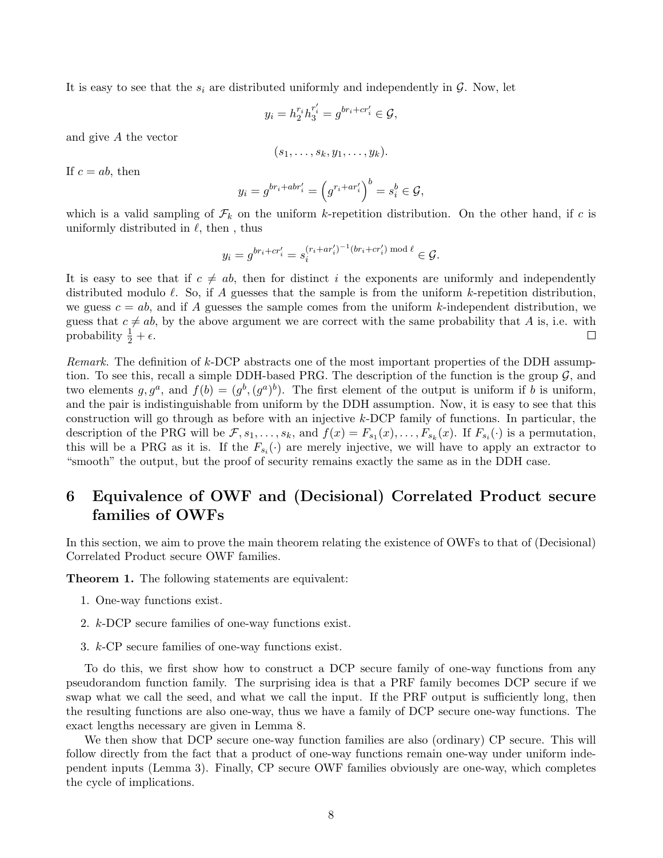It is easy to see that the  $s_i$  are distributed uniformly and independently in  $\mathcal{G}$ . Now, let

$$
y_i = h_2^{r_i} h_3^{r'_i} = g^{br_i + cr'_i} \in \mathcal{G},
$$

and give A the vector

$$
(s_1,\ldots,s_k,y_1,\ldots,y_k).
$$

If  $c = ab$ , then

$$
y_i = g^{br_i + abr'_i} = \left(g^{r_i + ar'_i}\right)^b = s_i^b \in \mathcal{G},
$$

which is a valid sampling of  $\mathcal{F}_k$  on the uniform k-repetition distribution. On the other hand, if c is uniformly distributed in  $\ell$ , then, thus

$$
y_i = g^{br_i + cr'_i} = s_i^{(r_i + ar'_i)^{-1}(br_i + cr'_i) \mod \ell} \in \mathcal{G}.
$$

It is easy to see that if  $c \neq ab$ , then for distinct i the exponents are uniformly and independently distributed modulo  $\ell$ . So, if A guesses that the sample is from the uniform k-repetition distribution, we guess  $c = ab$ , and if A guesses the sample comes from the uniform k-independent distribution, we guess that  $c \neq ab$ , by the above argument we are correct with the same probability that A is, i.e. with probability  $\frac{1}{2} + \epsilon$ .  $\Box$ 

Remark. The definition of k-DCP abstracts one of the most important properties of the DDH assumption. To see this, recall a simple DDH-based PRG. The description of the function is the group  $\mathcal{G}$ , and two elements  $g, g^a$ , and  $f(b) = (g^b, (g^a)^b)$ . The first element of the output is uniform if b is uniform, and the pair is indistinguishable from uniform by the DDH assumption. Now, it is easy to see that this construction will go through as before with an injective k-DCP family of functions. In particular, the description of the PRG will be  $\mathcal{F}, s_1, \ldots, s_k$ , and  $f(x) = F_{s_1}(x), \ldots, F_{s_k}(x)$ . If  $F_{s_i}(\cdot)$  is a permutation, this will be a PRG as it is. If the  $F_{s_i}(\cdot)$  are merely injective, we will have to apply an extractor to "smooth" the output, but the proof of security remains exactly the same as in the DDH case.

# 6 Equivalence of OWF and (Decisional) Correlated Product secure families of OWFs

In this section, we aim to prove the main theorem relating the existence of OWFs to that of (Decisional) Correlated Product secure OWF families.

Theorem 1. The following statements are equivalent:

- 1. One-way functions exist.
- 2. k-DCP secure families of one-way functions exist.
- 3. k-CP secure families of one-way functions exist.

To do this, we first show how to construct a DCP secure family of one-way functions from any pseudorandom function family. The surprising idea is that a PRF family becomes DCP secure if we swap what we call the seed, and what we call the input. If the PRF output is sufficiently long, then the resulting functions are also one-way, thus we have a family of DCP secure one-way functions. The exact lengths necessary are given in Lemma 8.

We then show that DCP secure one-way function families are also (ordinary) CP secure. This will follow directly from the fact that a product of one-way functions remain one-way under uniform independent inputs (Lemma 3). Finally, CP secure OWF families obviously are one-way, which completes the cycle of implications.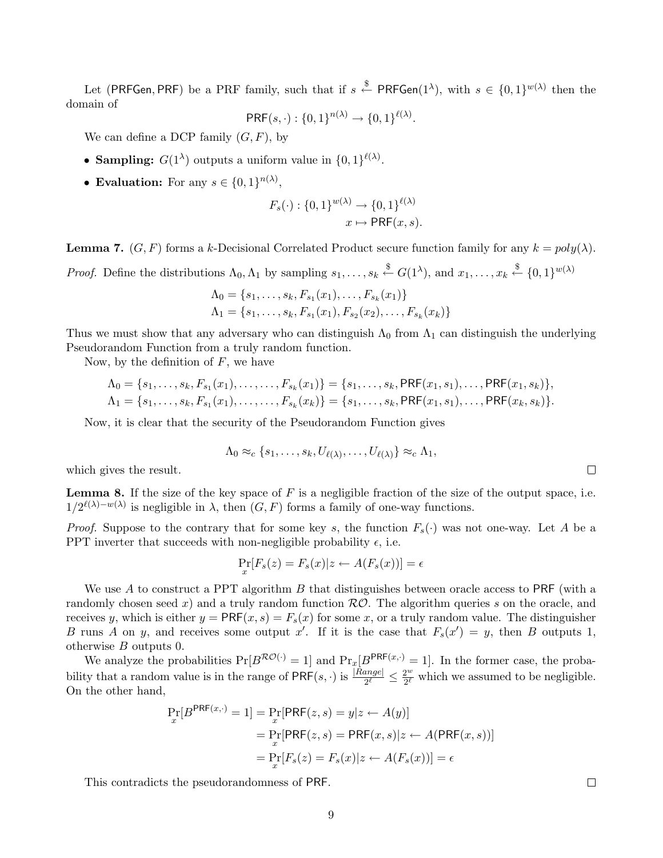Let (PRFGen, PRF) be a PRF family, such that if  $s \stackrel{\$}{\leftarrow}$  PRFGen(1<sup> $\lambda$ </sup>), with  $s \in \{0,1\}^{w(\lambda)}$  then the domain of

$$
\mathsf{PRF}(s, \cdot) : \{0, 1\}^{n(\lambda)} \to \{0, 1\}^{\ell(\lambda)}.
$$

We can define a DCP family  $(G, F)$ , by

- Sampling:  $G(1^{\lambda})$  outputs a uniform value in  $\{0,1\}^{\ell(\lambda)}$ .
- Evaluation: For any  $s \in \{0,1\}^{n(\lambda)}$ ,

$$
F_s(\cdot) : \{0,1\}^{w(\lambda)} \to \{0,1\}^{\ell(\lambda)}
$$

$$
x \mapsto \text{PRF}(x, s).
$$

**Lemma 7.**  $(G, F)$  forms a k-Decisional Correlated Product secure function family for any  $k = poly(\lambda)$ .

*Proof.* Define the distributions  $\Lambda_0, \Lambda_1$  by sampling  $s_1, \ldots, s_k \stackrel{\$}{\leftarrow} G(1^{\lambda}),$  and  $x_1, \ldots, x_k \stackrel{\$}{\leftarrow} \{0,1\}^{w(\lambda)}$ 

$$
\Lambda_0 = \{s_1, \ldots, s_k, F_{s_1}(x_1), \ldots, F_{s_k}(x_1)\}
$$
  

$$
\Lambda_1 = \{s_1, \ldots, s_k, F_{s_1}(x_1), F_{s_2}(x_2), \ldots, F_{s_k}(x_k)\}
$$

Thus we must show that any adversary who can distinguish  $\Lambda_0$  from  $\Lambda_1$  can distinguish the underlying Pseudorandom Function from a truly random function.

Now, by the definition of  $F$ , we have

$$
\Lambda_0 = \{s_1, \ldots, s_k, F_{s_1}(x_1), \ldots, \ldots, F_{s_k}(x_1)\} = \{s_1, \ldots, s_k, \text{PRF}(x_1, s_1), \ldots, \text{PRF}(x_1, s_k)\},
$$
  
\n
$$
\Lambda_1 = \{s_1, \ldots, s_k, F_{s_1}(x_1), \ldots, \ldots, F_{s_k}(x_k)\} = \{s_1, \ldots, s_k, \text{PRF}(x_1, s_1), \ldots, \text{PRF}(x_k, s_k)\}.
$$

Now, it is clear that the security of the Pseudorandom Function gives

$$
\Lambda_0 \approx_c \{s_1,\ldots,s_k,U_{\ell(\lambda)},\ldots,U_{\ell(\lambda)}\} \approx_c \Lambda_1,
$$

which gives the result.

**Lemma 8.** If the size of the key space of  $F$  is a negligible fraction of the size of the output space, i.e.  $1/2^{\ell(\lambda)-w(\lambda)}$  is negligible in  $\lambda$ , then  $(G, F)$  forms a family of one-way functions.

*Proof.* Suppose to the contrary that for some key s, the function  $F_s(\cdot)$  was not one-way. Let A be a PPT inverter that succeeds with non-negligible probability  $\epsilon$ , i.e.

$$
\Pr_x[F_s(z) = F_s(x)|z \leftarrow A(F_s(x))] = \epsilon
$$

We use  $A$  to construct a PPT algorithm  $B$  that distinguishes between oracle access to PRF (with a randomly chosen seed x) and a truly random function  $R\mathcal{O}$ . The algorithm queries s on the oracle, and receives y, which is either  $y = PRF(x, s) = F_s(x)$  for some x, or a truly random value. The distinguisher B runs A on y, and receives some output x'. If it is the case that  $F_s(x') = y$ , then B outputs 1, otherwise B outputs 0.

We analyze the probabilities  $Pr[B^{\mathcal{RO}(\cdot)} = 1]$  and  $Pr_x[B^{\mathcal{PRF}(x,\cdot)} = 1]$ . In the former case, the probability that a random value is in the range of  $\mathsf{PRF}(s, \cdot)$  is  $\frac{|Range|}{2^{\ell}} \leq \frac{2^w}{2^{\ell}}$  $\frac{2^{\omega}}{2^{\ell}}$  which we assumed to be negligible. On the other hand,

$$
\Pr_x[B^{\text{PRF}(x, \cdot)} = 1] = \Pr_x[\text{PRF}(z, s) = y | z \leftarrow A(y)]
$$

$$
= \Pr_x[\text{PRF}(z, s) = \text{PRF}(x, s) | z \leftarrow A(\text{PRF}(x, s))]
$$

$$
= \Pr_x[F_s(z) = F_s(x) | z \leftarrow A(F_s(x))] = \epsilon
$$

This contradicts the pseudorandomness of PRF.

 $\Box$ 

 $\Box$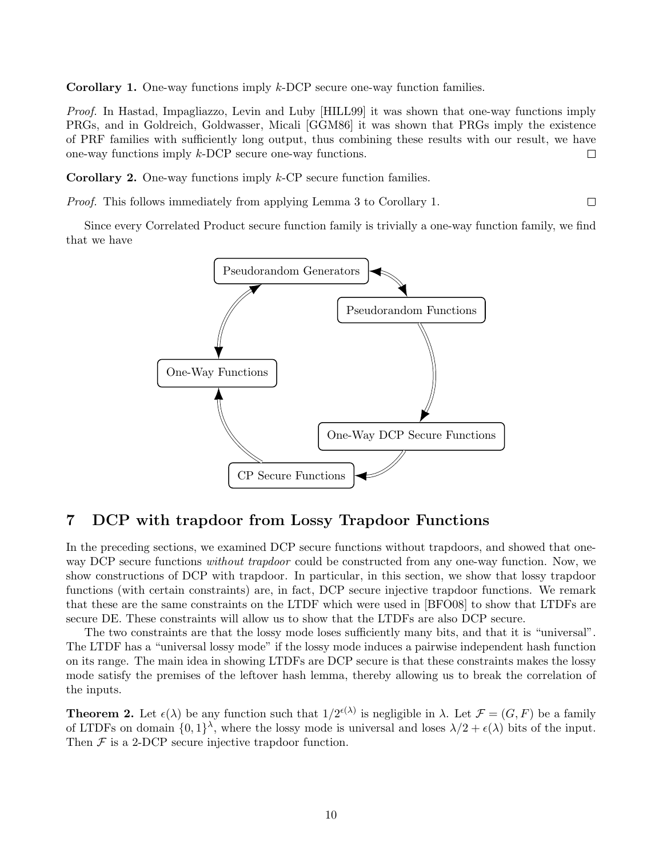Corollary 1. One-way functions imply k-DCP secure one-way function families.

Proof. In Hastad, Impagliazzo, Levin and Luby [HILL99] it was shown that one-way functions imply PRGs, and in Goldreich, Goldwasser, Micali [GGM86] it was shown that PRGs imply the existence of PRF families with sufficiently long output, thus combining these results with our result, we have one-way functions imply k-DCP secure one-way functions.  $\Box$ 

Corollary 2. One-way functions imply k-CP secure function families.

Proof. This follows immediately from applying Lemma 3 to Corollary 1.

Since every Correlated Product secure function family is trivially a one-way function family, we find that we have

 $\Box$ 



## 7 DCP with trapdoor from Lossy Trapdoor Functions

In the preceding sections, we examined DCP secure functions without trapdoors, and showed that oneway DCP secure functions *without trapdoor* could be constructed from any one-way function. Now, we show constructions of DCP with trapdoor. In particular, in this section, we show that lossy trapdoor functions (with certain constraints) are, in fact, DCP secure injective trapdoor functions. We remark that these are the same constraints on the LTDF which were used in [BFO08] to show that LTDFs are secure DE. These constraints will allow us to show that the LTDFs are also DCP secure.

The two constraints are that the lossy mode loses sufficiently many bits, and that it is "universal". The LTDF has a "universal lossy mode" if the lossy mode induces a pairwise independent hash function on its range. The main idea in showing LTDFs are DCP secure is that these constraints makes the lossy mode satisfy the premises of the leftover hash lemma, thereby allowing us to break the correlation of the inputs.

**Theorem 2.** Let  $\epsilon(\lambda)$  be any function such that  $1/2^{\epsilon(\lambda)}$  is negligible in  $\lambda$ . Let  $\mathcal{F} = (G, F)$  be a family of LTDFs on domain  $\{0,1\}^{\lambda}$ , where the lossy mode is universal and loses  $\lambda/2 + \epsilon(\lambda)$  bits of the input. Then  $\mathcal F$  is a 2-DCP secure injective trapdoor function.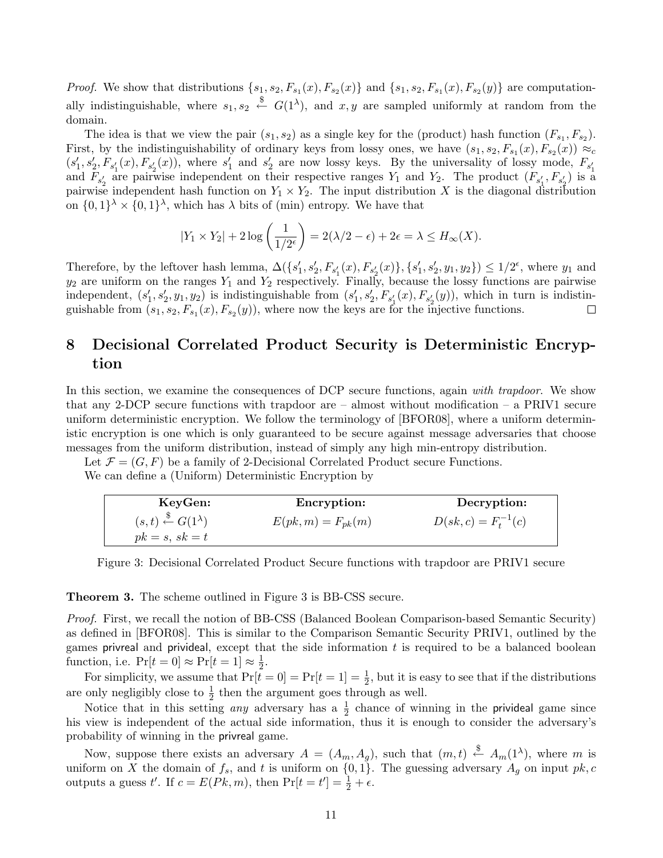*Proof.* We show that distributions  $\{s_1, s_2, F_{s_1}(x), F_{s_2}(x)\}$  and  $\{s_1, s_2, F_{s_1}(x), F_{s_2}(y)\}$  are computationally indistinguishable, where  $s_1, s_2 \stackrel{\$}{\leftarrow} G(1^{\lambda}),$  and  $x, y$  are sampled uniformly at random from the domain.

The idea is that we view the pair  $(s_1, s_2)$  as a single key for the (product) hash function  $(F_{s_1}, F_{s_2})$ . First, by the indistinguishability of ordinary keys from lossy ones, we have  $(s_1, s_2, F_{s_1}(x), F_{s_2}(x)) \approx_c$  $(s'_1, s'_2, F_{s'_1}(x), F_{s'_2}(x))$ , where  $s'_1$  and  $s'_2$  are now lossy keys. By the universality of lossy mode,  $F_{s'_1}$  and  $F_{s'_2}$  are pairwise independent on their respective ranges  $Y_1$  and  $Y_2$ . The product  $(F_{s'_1}, F_{s'_2})$ pairwise independent hash function on  $Y_1 \times Y_2$ . The input distribution X is the diagonal distribution on  $\{0,1\}^{\lambda} \times \{0,1\}^{\lambda}$ , which has  $\lambda$  bits of (min) entropy. We have that

$$
|Y_1 \times Y_2| + 2 \log \left( \frac{1}{1/2^{\epsilon}} \right) = 2(\lambda/2 - \epsilon) + 2\epsilon = \lambda \le H_{\infty}(X).
$$

Therefore, by the leftover hash lemma,  $\Delta({s'_1, s'_2, F_{s'_1}(x), F_{s'_2}(x)}, {s'_1, s'_2, y_1, y_2}) \leq 1/2^{\epsilon}$ , where  $y_1$  and  $y_2$  are uniform on the ranges  $Y_1$  and  $Y_2$  respectively. Finally, because the lossy functions are pairwise independent,  $(s_1', s_2', y_1, y_2)$  is indistinguishable from  $(s_1', s_2', F_{s_1'}(x), F_{s_2'}(y))$ , which in turn is indistinguishable from  $(s_1, s_2, F_{s_1}(x), F_{s_2}(y))$ , where now the keys are for the injective functions.

# 8 Decisional Correlated Product Security is Deterministic Encryption

In this section, we examine the consequences of DCP secure functions, again with trapdoor. We show that any 2-DCP secure functions with trapdoor are  $-$  almost without modification  $-$  a PRIV1 secure uniform deterministic encryption. We follow the terminology of [BFOR08], where a uniform deterministic encryption is one which is only guaranteed to be secure against message adversaries that choose messages from the uniform distribution, instead of simply any high min-entropy distribution.

Let  $\mathcal{F} = (G, F)$  be a family of 2-Decisional Correlated Product secure Functions.

We can define a (Uniform) Deterministic Encryption by

| KeyGen:                                          | <b>Encryption:</b>     | Decryption:              |
|--------------------------------------------------|------------------------|--------------------------|
| $(s,t) \stackrel{\$}{\leftarrow} G(1^{\lambda})$ | $E(pk, m) = F_{pk}(m)$ | $D(sk, c) = F_t^{-1}(c)$ |
| $pk = s, sk = t$                                 |                        |                          |

Figure 3: Decisional Correlated Product Secure functions with trapdoor are PRIV1 secure

Theorem 3. The scheme outlined in Figure 3 is BB-CSS secure.

Proof. First, we recall the notion of BB-CSS (Balanced Boolean Comparison-based Semantic Security) as defined in [BFOR08]. This is similar to the Comparison Semantic Security PRIV1, outlined by the games privreal and privideal, except that the side information  $t$  is required to be a balanced boolean function, i.e.  $\Pr[t=0] \approx \Pr[t=1] \approx \frac{1}{2}$  $\frac{1}{2}$ .

For simplicity, we assume that  $Pr[t = 0] = Pr[t = 1] = \frac{1}{2}$ , but it is easy to see that if the distributions are only negligibly close to  $\frac{1}{2}$  then the argument goes through as well.

Notice that in this setting *any* adversary has a  $\frac{1}{2}$  chance of winning in the **privideal** game since his view is independent of the actual side information, thus it is enough to consider the adversary's probability of winning in the privreal game.

Now, suppose there exists an adversary  $A = (A_m, A_g)$ , such that  $(m, t) \stackrel{\$}{\leftarrow} A_m(1^{\lambda})$ , where m is uniform on X the domain of  $f_s$ , and t is uniform on  $\{0, 1\}$ . The guessing adversary  $A_g$  on input  $pk, c$ outputs a guess t'. If  $c = E(Pk, m)$ , then  $Pr[t = t'] = \frac{1}{2} + \epsilon$ .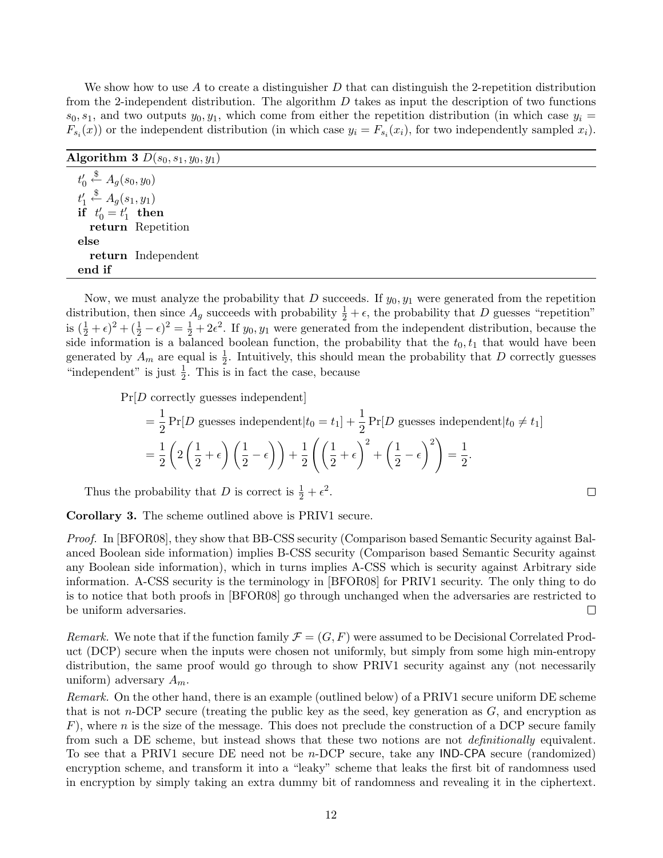We show how to use A to create a distinguisher  $D$  that can distinguish the 2-repetition distribution from the 2-independent distribution. The algorithm  $D$  takes as input the description of two functions  $s_0, s_1$ , and two outputs  $y_0, y_1$ , which come from either the repetition distribution (in which case  $y_i =$  $F_{s_i}(x)$  or the independent distribution (in which case  $y_i = F_{s_i}(x_i)$ , for two independently sampled  $x_i$ ).

| Algorithm 3 $D(s_0,s_1,y_0,y_1)$               |  |  |
|------------------------------------------------|--|--|
| $t'_0 \stackrel{\$}{\leftarrow} A_q(s_0,y_0)$  |  |  |
| $t'_1 \stackrel{\$}{\leftarrow} A_q(s_1, y_1)$ |  |  |
| if $t'_0 = t'_1$ then                          |  |  |
| return Repetition                              |  |  |
| else                                           |  |  |
| return Independent                             |  |  |
| end if                                         |  |  |

Now, we must analyze the probability that D succeeds. If  $y_0, y_1$  were generated from the repetition distribution, then since  $A_g$  succeeds with probability  $\frac{1}{2} + \epsilon$ , the probability that D guesses "repetition" is  $(\frac{1}{2} + \epsilon)^2 + (\frac{1}{2} - \epsilon)^2 = \frac{1}{2} + 2\epsilon^2$ . If  $y_0, y_1$  were generated from the independent distribution, because the side information is a balanced boolean function, the probability that the  $t_0, t_1$  that would have been generated by  $A_m$  are equal is  $\frac{1}{2}$ . Intuitively, this should mean the probability that D correctly guesses "independent" is just  $\frac{1}{2}$ . This is in fact the case, because

Pr[D correctly guesses independent]

$$
= \frac{1}{2} \Pr[D \text{ guesses independent}|t_0 = t_1] + \frac{1}{2} \Pr[D \text{ guesses independent}|t_0 \neq t_1]
$$

$$
= \frac{1}{2} \left( 2 \left( \frac{1}{2} + \epsilon \right) \left( \frac{1}{2} - \epsilon \right) \right) + \frac{1}{2} \left( \left( \frac{1}{2} + \epsilon \right)^2 + \left( \frac{1}{2} - \epsilon \right)^2 \right) = \frac{1}{2}.
$$

 $\Box$ 

Thus the probability that D is correct is  $\frac{1}{2} + \epsilon^2$ .

Corollary 3. The scheme outlined above is PRIV1 secure.

Proof. In [BFOR08], they show that BB-CSS security (Comparison based Semantic Security against Balanced Boolean side information) implies B-CSS security (Comparison based Semantic Security against any Boolean side information), which in turns implies A-CSS which is security against Arbitrary side information. A-CSS security is the terminology in [BFOR08] for PRIV1 security. The only thing to do is to notice that both proofs in [BFOR08] go through unchanged when the adversaries are restricted to be uniform adversaries.  $\Box$ 

Remark. We note that if the function family  $\mathcal{F} = (G, F)$  were assumed to be Decisional Correlated Product (DCP) secure when the inputs were chosen not uniformly, but simply from some high min-entropy distribution, the same proof would go through to show PRIV1 security against any (not necessarily uniform) adversary  $A_m$ .

Remark. On the other hand, there is an example (outlined below) of a PRIV1 secure uniform DE scheme that is not n-DCP secure (treating the public key as the seed, key generation as  $G$ , and encryption as  $F$ ), where n is the size of the message. This does not preclude the construction of a DCP secure family from such a DE scheme, but instead shows that these two notions are not *definitionally* equivalent. To see that a PRIV1 secure DE need not be n-DCP secure, take any IND-CPA secure (randomized) encryption scheme, and transform it into a "leaky" scheme that leaks the first bit of randomness used in encryption by simply taking an extra dummy bit of randomness and revealing it in the ciphertext.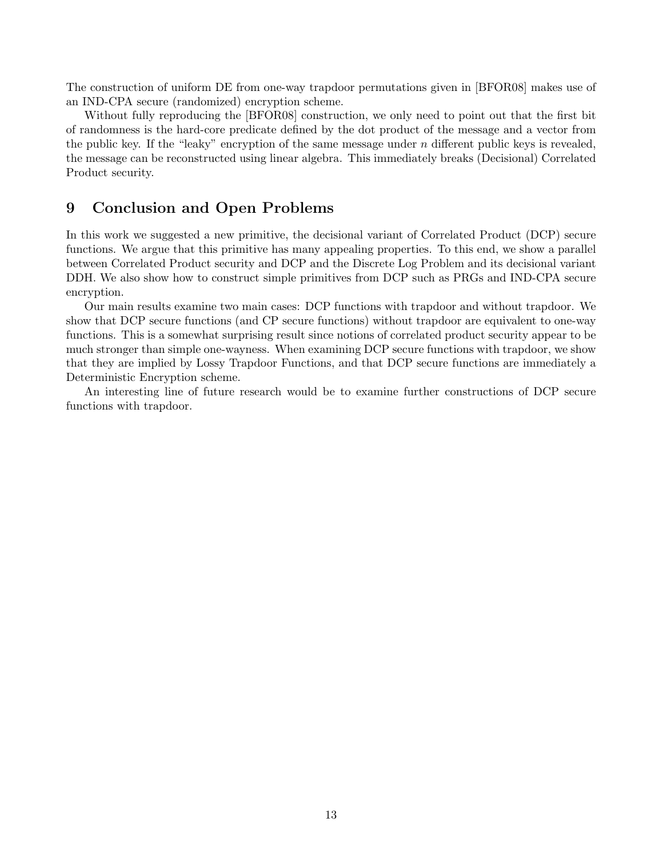The construction of uniform DE from one-way trapdoor permutations given in [BFOR08] makes use of an IND-CPA secure (randomized) encryption scheme.

Without fully reproducing the [BFOR08] construction, we only need to point out that the first bit of randomness is the hard-core predicate defined by the dot product of the message and a vector from the public key. If the "leaky" encryption of the same message under  $n$  different public keys is revealed, the message can be reconstructed using linear algebra. This immediately breaks (Decisional) Correlated Product security.

## 9 Conclusion and Open Problems

In this work we suggested a new primitive, the decisional variant of Correlated Product (DCP) secure functions. We argue that this primitive has many appealing properties. To this end, we show a parallel between Correlated Product security and DCP and the Discrete Log Problem and its decisional variant DDH. We also show how to construct simple primitives from DCP such as PRGs and IND-CPA secure encryption.

Our main results examine two main cases: DCP functions with trapdoor and without trapdoor. We show that DCP secure functions (and CP secure functions) without trapdoor are equivalent to one-way functions. This is a somewhat surprising result since notions of correlated product security appear to be much stronger than simple one-wayness. When examining DCP secure functions with trapdoor, we show that they are implied by Lossy Trapdoor Functions, and that DCP secure functions are immediately a Deterministic Encryption scheme.

An interesting line of future research would be to examine further constructions of DCP secure functions with trapdoor.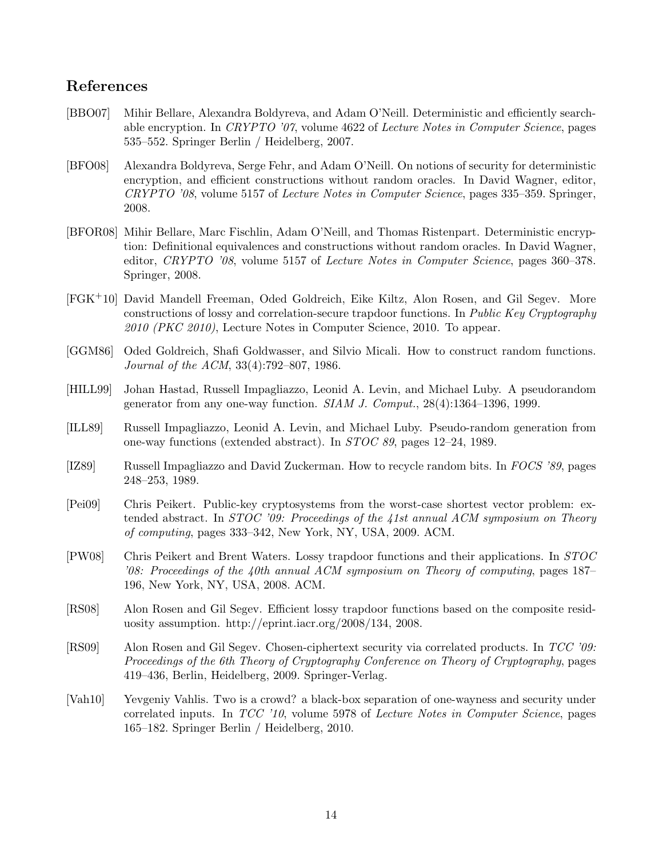## References

- [BBO07] Mihir Bellare, Alexandra Boldyreva, and Adam O'Neill. Deterministic and efficiently searchable encryption. In CRYPTO '07, volume 4622 of Lecture Notes in Computer Science, pages 535–552. Springer Berlin / Heidelberg, 2007.
- [BFO08] Alexandra Boldyreva, Serge Fehr, and Adam O'Neill. On notions of security for deterministic encryption, and efficient constructions without random oracles. In David Wagner, editor, CRYPTO '08, volume 5157 of Lecture Notes in Computer Science, pages 335–359. Springer, 2008.
- [BFOR08] Mihir Bellare, Marc Fischlin, Adam O'Neill, and Thomas Ristenpart. Deterministic encryption: Definitional equivalences and constructions without random oracles. In David Wagner, editor, CRYPTO '08, volume 5157 of Lecture Notes in Computer Science, pages 360–378. Springer, 2008.
- [FGK+10] David Mandell Freeman, Oded Goldreich, Eike Kiltz, Alon Rosen, and Gil Segev. More constructions of lossy and correlation-secure trapdoor functions. In Public Key Cryptography 2010 (PKC 2010), Lecture Notes in Computer Science, 2010. To appear.
- [GGM86] Oded Goldreich, Shafi Goldwasser, and Silvio Micali. How to construct random functions. Journal of the ACM, 33(4):792–807, 1986.
- [HILL99] Johan Hastad, Russell Impagliazzo, Leonid A. Levin, and Michael Luby. A pseudorandom generator from any one-way function. SIAM J. Comput., 28(4):1364–1396, 1999.
- [ILL89] Russell Impagliazzo, Leonid A. Levin, and Michael Luby. Pseudo-random generation from one-way functions (extended abstract). In STOC 89, pages 12–24, 1989.
- [IZ89] Russell Impagliazzo and David Zuckerman. How to recycle random bits. In FOCS '89, pages 248–253, 1989.
- [Pei09] Chris Peikert. Public-key cryptosystems from the worst-case shortest vector problem: extended abstract. In STOC '09: Proceedings of the 41st annual ACM symposium on Theory of computing, pages 333–342, New York, NY, USA, 2009. ACM.
- [PW08] Chris Peikert and Brent Waters. Lossy trapdoor functions and their applications. In STOC '08: Proceedings of the 40th annual ACM symposium on Theory of computing, pages 187– 196, New York, NY, USA, 2008. ACM.
- [RS08] Alon Rosen and Gil Segev. Efficient lossy trapdoor functions based on the composite residuosity assumption. http://eprint.iacr.org/2008/134, 2008.
- [RS09] Alon Rosen and Gil Segev. Chosen-ciphertext security via correlated products. In TCC '09: Proceedings of the 6th Theory of Cryptography Conference on Theory of Cryptography, pages 419–436, Berlin, Heidelberg, 2009. Springer-Verlag.
- [Vah10] Yevgeniy Vahlis. Two is a crowd? a black-box separation of one-wayness and security under correlated inputs. In TCC '10, volume 5978 of Lecture Notes in Computer Science, pages 165–182. Springer Berlin / Heidelberg, 2010.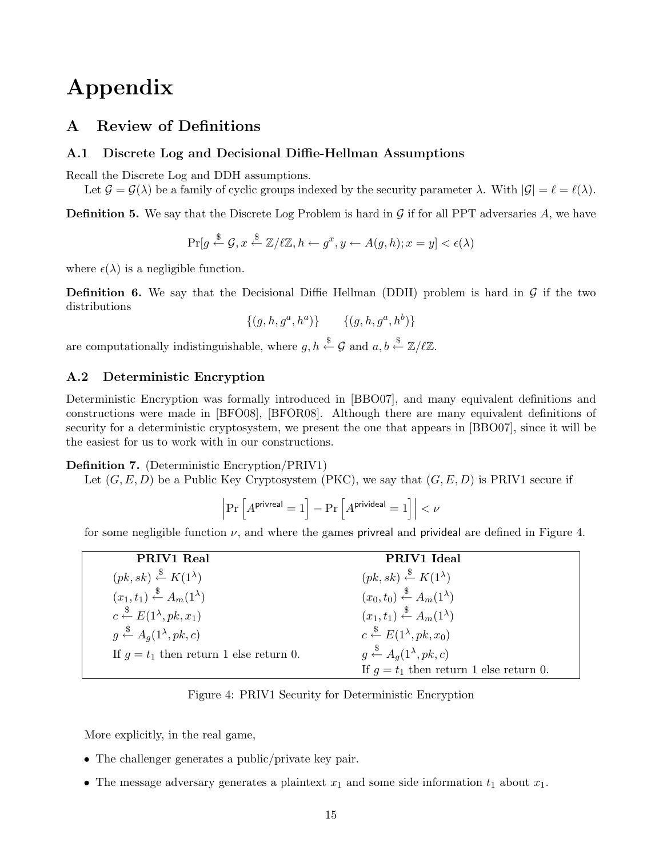# Appendix

# A Review of Definitions

#### A.1 Discrete Log and Decisional Diffie-Hellman Assumptions

Recall the Discrete Log and DDH assumptions.

Let  $\mathcal{G} = \mathcal{G}(\lambda)$  be a family of cyclic groups indexed by the security parameter  $\lambda$ . With  $|\mathcal{G}| = \ell = \ell(\lambda)$ .

**Definition 5.** We say that the Discrete Log Problem is hard in  $\mathcal G$  if for all PPT adversaries  $A$ , we have

$$
\Pr[g \stackrel{\$}{\leftarrow} \mathcal{G}, x \stackrel{\$}{\leftarrow} \mathbb{Z}/\ell\mathbb{Z}, h \leftarrow g^x, y \leftarrow A(g, h); x = y] < \epsilon(\lambda)
$$

where  $\epsilon(\lambda)$  is a negligible function.

**Definition 6.** We say that the Decisional Diffie Hellman (DDH) problem is hard in  $\mathcal{G}$  if the two distributions

$$
\{(g, h, g^a, h^a)\} \qquad \{(g, h, g^a, h^b)\}
$$

are computationally indistinguishable, where  $g, h \stackrel{\$}{\leftarrow} \mathcal{G}$  and  $a, b \stackrel{\$}{\leftarrow} \mathbb{Z}/\ell \mathbb{Z}$ .

#### A.2 Deterministic Encryption

Deterministic Encryption was formally introduced in [BBO07], and many equivalent definitions and constructions were made in [BFO08], [BFOR08]. Although there are many equivalent definitions of security for a deterministic cryptosystem, we present the one that appears in [BBO07], since it will be the easiest for us to work with in our constructions.

Definition 7. (Deterministic Encryption/PRIV1)

Let  $(G, E, D)$  be a Public Key Cryptosystem (PKC), we say that  $(G, E, D)$  is PRIV1 secure if

$$
\left|\Pr\left[A^{\text{privreal}}=1\right]-\Pr\left[A^{\text{privideal}}=1\right]\right|<\nu
$$

for some negligible function  $\nu$ , and where the games privreal and privideal are defined in Figure 4.

| PRIV1 Real                                             | PRIV1 Ideal                                            |
|--------------------------------------------------------|--------------------------------------------------------|
| $(pk, sk) \stackrel{\$}{\leftarrow} K(1^{\lambda})$    | $(pk, sk) \stackrel{\$}{\leftarrow} K(1^{\lambda})$    |
| $(x_1,t_1) \stackrel{\$}{\leftarrow} A_m(1^{\lambda})$ | $(x_0,t_0) \stackrel{\$}{\leftarrow} A_m(1^{\lambda})$ |
| $c \stackrel{\$}{\leftarrow} E(1^{\lambda}, p k, x_1)$ | $(x_1,t_1) \stackrel{\$}{\leftarrow} A_m(1^{\lambda})$ |
| $g \stackrel{\$}{\leftarrow} A_q(1^{\lambda}, pk, c)$  | $c \stackrel{\$}{\leftarrow} E(1^{\lambda}, p k, x_0)$ |
| If $q = t_1$ then return 1 else return 0.              | $g \stackrel{\$}{\leftarrow} A_q(1^{\lambda}, pk, c)$  |
|                                                        | If $g = t_1$ then return 1 else return 0.              |

Figure 4: PRIV1 Security for Deterministic Encryption

More explicitly, in the real game,

- The challenger generates a public/private key pair.
- The message adversary generates a plaintext  $x_1$  and some side information  $t_1$  about  $x_1$ .